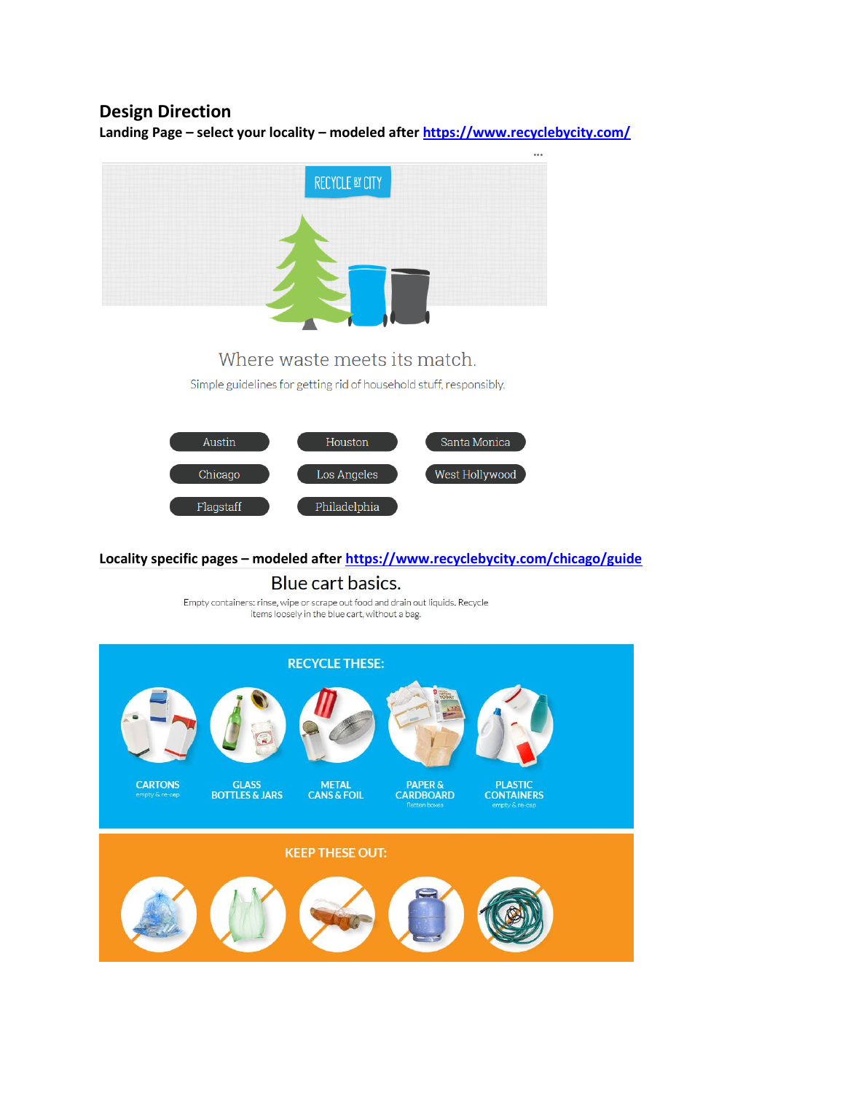# **Design Direction**

**Landing Page – select your locality – modeled after<https://www.recyclebycity.com/>**



# Where waste meets its match.

Simple guidelines for getting rid of household stuff, responsibly.



#### **Locality specific pages – modeled after<https://www.recyclebycity.com/chicago/guide>**

Blue cart basics.

Empty containers: rinse, wipe or scrape out food and drain out liquids. Recycle items loosely in the blue cart, without a bag.